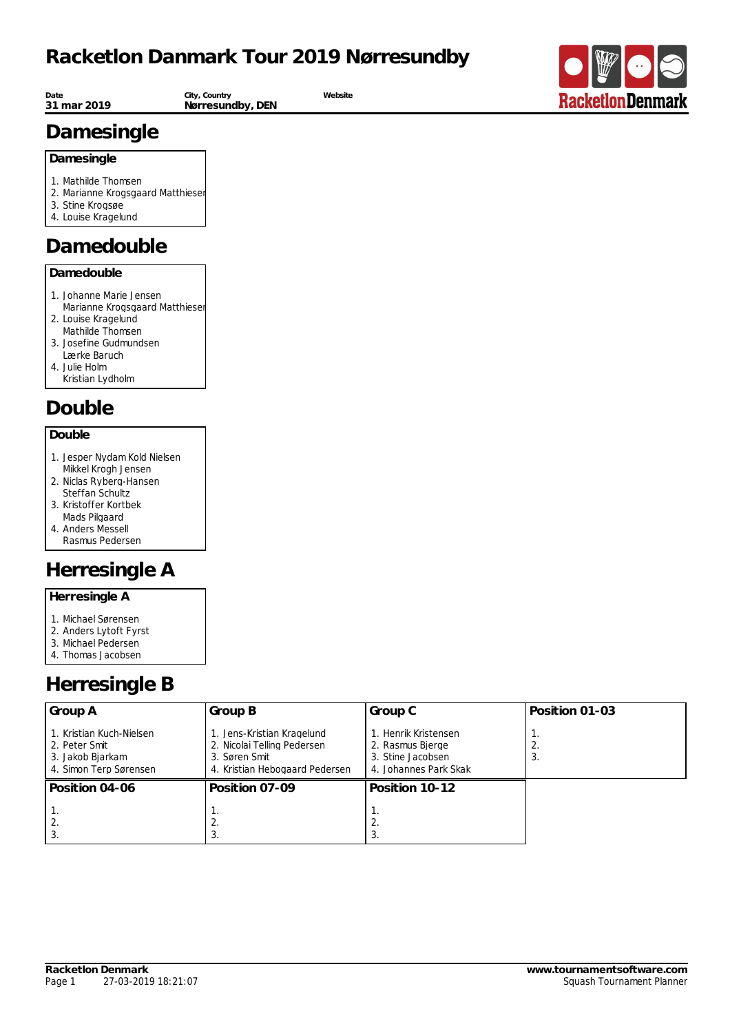

**Date 31 mar 2019** **City, Country Nørresundby, DEN**

**Website**

# **Damesingle**

### **Damesingle**

- 1. Mathilde Thomsen
- 2. Marianne Krogsgaard Matthieser
- 3. Stine Krogsøe
- 4. Louise Kragelund

### **Damedouble**

### **Damedouble**

- 1. Johanne Marie Jensen Marianne Krogsgaard Matthiesen
- 2. Louise Kragelund Mathilde Thomsen
- 3. Josefine Gudmundsen Lærke Baruch
- 4. Julie Holm Kristian Lydholm

### **Double**

#### **Double**

- 1. Jesper Nydam Kold Nielsen Mikkel Krogh Jensen
- 2. Niclas Ryberg-Hansen Steffan Schultz
- 3. Kristoffer Kortbek
- Mads Pilgaard 4. Anders Messell Rasmus Pedersen

## **Herresingle A**

- **Herresingle A**
- 1. Michael Sørensen
- 2. Anders Lytoft Fyrst
- 3. Michael Pedersen
- 4. Thomas Jacobsen

## **Herresingle B**

| Group A                                                                                 | Group B                                                                                                      | Group C                                                                                | Position 01-03 |
|-----------------------------------------------------------------------------------------|--------------------------------------------------------------------------------------------------------------|----------------------------------------------------------------------------------------|----------------|
| 1. Kristian Kuch-Nielsen<br>2. Peter Smit<br>3. Jakob Bjarkam<br>4. Simon Terp Sørensen | 1. Jens-Kristian Kragelund<br>2. Nicolai Telling Pedersen<br>3. Søren Smit<br>4. Kristian Hebogaard Pedersen | 1. Henrik Kristensen<br>2. Rasmus Bierge<br>3. Stine Jacobsen<br>4. Johannes Park Skak | 3.             |
| Position 04-06                                                                          | Position 07-09                                                                                               | Position 10-12                                                                         |                |
| 2.<br>3.                                                                                |                                                                                                              |                                                                                        |                |